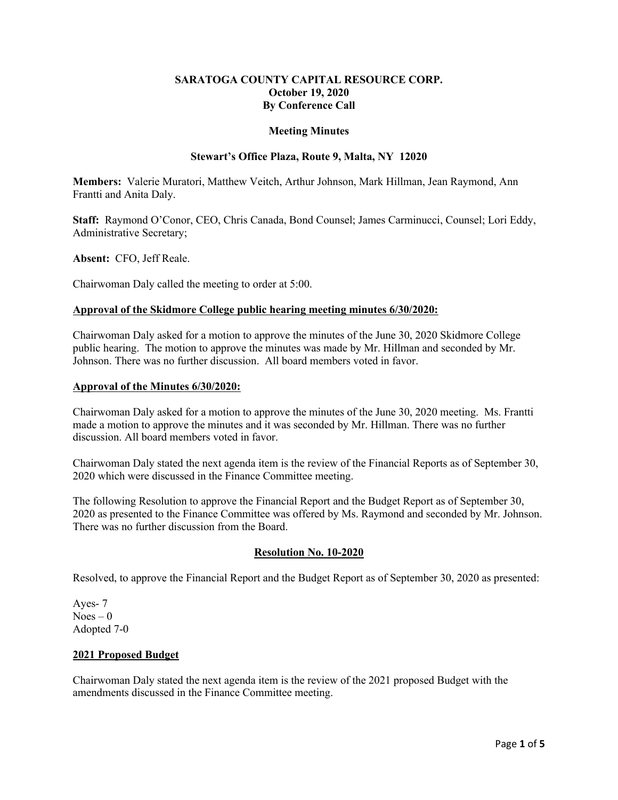# **SARATOGA COUNTY CAPITAL RESOURCE CORP. October 19, 2020 By Conference Call**

#### **Meeting Minutes**

## **Stewart's Office Plaza, Route 9, Malta, NY 12020**

**Members:** Valerie Muratori, Matthew Veitch, Arthur Johnson, Mark Hillman, Jean Raymond, Ann Frantti and Anita Daly.

**Staff:** Raymond O'Conor, CEO, Chris Canada, Bond Counsel; James Carminucci, Counsel; Lori Eddy, Administrative Secretary;

**Absent:** CFO, Jeff Reale.

Chairwoman Daly called the meeting to order at 5:00.

### **Approval of the Skidmore College public hearing meeting minutes 6/30/2020:**

Chairwoman Daly asked for a motion to approve the minutes of the June 30, 2020 Skidmore College public hearing. The motion to approve the minutes was made by Mr. Hillman and seconded by Mr. Johnson. There was no further discussion. All board members voted in favor.

#### **Approval of the Minutes 6/30/2020:**

Chairwoman Daly asked for a motion to approve the minutes of the June 30, 2020 meeting. Ms. Frantti made a motion to approve the minutes and it was seconded by Mr. Hillman. There was no further discussion. All board members voted in favor.

Chairwoman Daly stated the next agenda item is the review of the Financial Reports as of September 30, 2020 which were discussed in the Finance Committee meeting.

The following Resolution to approve the Financial Report and the Budget Report as of September 30, 2020 as presented to the Finance Committee was offered by Ms. Raymond and seconded by Mr. Johnson. There was no further discussion from the Board.

# **Resolution No. 10-2020**

Resolved, to approve the Financial Report and the Budget Report as of September 30, 2020 as presented:

Ayes- 7  $Noes - 0$ Adopted 7-0

#### **2021 Proposed Budget**

Chairwoman Daly stated the next agenda item is the review of the 2021 proposed Budget with the amendments discussed in the Finance Committee meeting.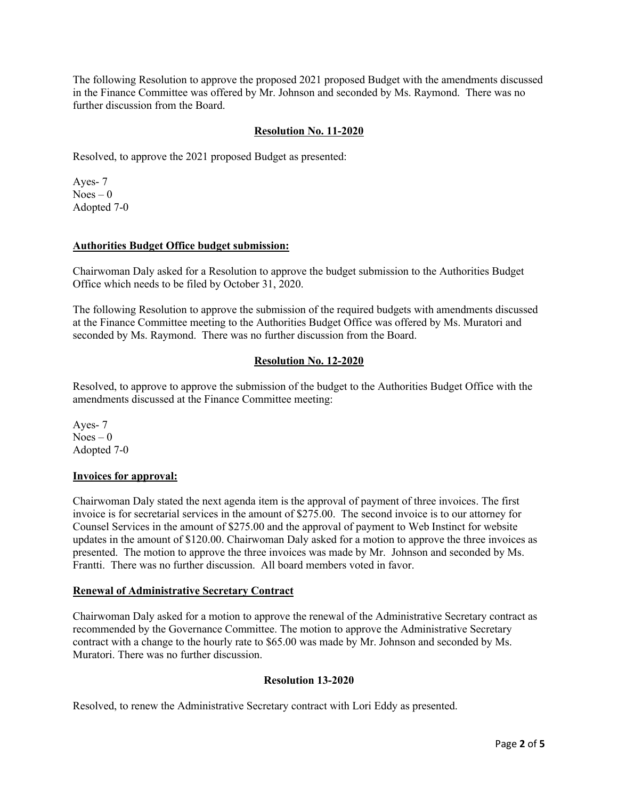The following Resolution to approve the proposed 2021 proposed Budget with the amendments discussed in the Finance Committee was offered by Mr. Johnson and seconded by Ms. Raymond. There was no further discussion from the Board.

## **Resolution No. 11-2020**

Resolved, to approve the 2021 proposed Budget as presented:

Ayes- 7  $Noes - 0$ Adopted 7-0

### **Authorities Budget Office budget submission:**

Chairwoman Daly asked for a Resolution to approve the budget submission to the Authorities Budget Office which needs to be filed by October 31, 2020.

The following Resolution to approve the submission of the required budgets with amendments discussed at the Finance Committee meeting to the Authorities Budget Office was offered by Ms. Muratori and seconded by Ms. Raymond. There was no further discussion from the Board.

# **Resolution No. 12-2020**

Resolved, to approve to approve the submission of the budget to the Authorities Budget Office with the amendments discussed at the Finance Committee meeting:

Ayes- 7  $Noes - 0$ Adopted 7-0

#### **Invoices for approval:**

Chairwoman Daly stated the next agenda item is the approval of payment of three invoices. The first invoice is for secretarial services in the amount of \$275.00. The second invoice is to our attorney for Counsel Services in the amount of \$275.00 and the approval of payment to Web Instinct for website updates in the amount of \$120.00. Chairwoman Daly asked for a motion to approve the three invoices as presented. The motion to approve the three invoices was made by Mr. Johnson and seconded by Ms. Frantti. There was no further discussion. All board members voted in favor.

# **Renewal of Administrative Secretary Contract**

Chairwoman Daly asked for a motion to approve the renewal of the Administrative Secretary contract as recommended by the Governance Committee. The motion to approve the Administrative Secretary contract with a change to the hourly rate to \$65.00 was made by Mr. Johnson and seconded by Ms. Muratori. There was no further discussion.

# **Resolution 13-2020**

Resolved, to renew the Administrative Secretary contract with Lori Eddy as presented.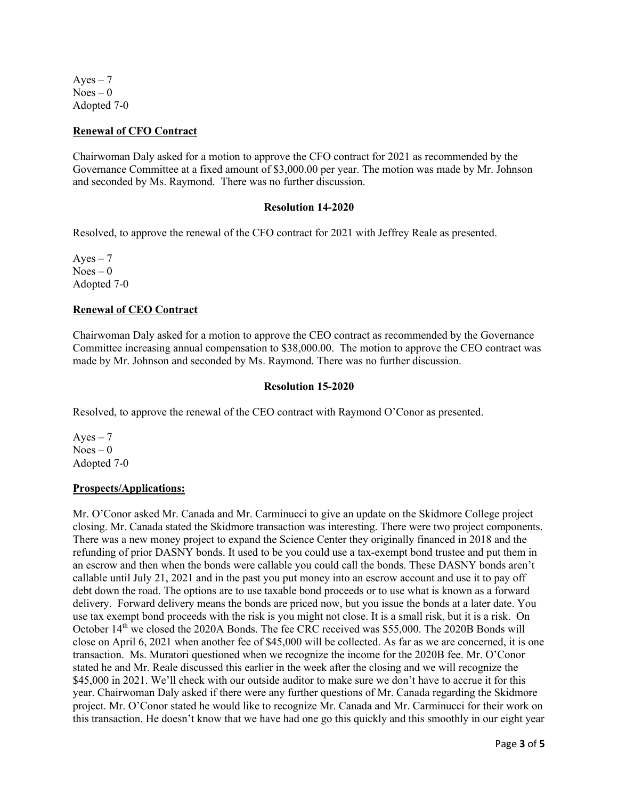$Aves - 7$  $Noes - 0$ Adopted 7-0

#### **Renewal of CFO Contract**

Chairwoman Daly asked for a motion to approve the CFO contract for 2021 as recommended by the Governance Committee at a fixed amount of \$3,000.00 per year. The motion was made by Mr. Johnson and seconded by Ms. Raymond. There was no further discussion.

#### **Resolution 14-2020**

Resolved, to approve the renewal of the CFO contract for 2021 with Jeffrey Reale as presented.

Ayes  $-7$  $Noes - 0$ Adopted 7-0

### **Renewal of CEO Contract**

Chairwoman Daly asked for a motion to approve the CEO contract as recommended by the Governance Committee increasing annual compensation to \$38,000.00. The motion to approve the CEO contract was made by Mr. Johnson and seconded by Ms. Raymond. There was no further discussion.

#### **Resolution 15-2020**

Resolved, to approve the renewal of the CEO contract with Raymond O'Conor as presented.

Ayes  $-7$  $Noes - 0$ Adopted 7-0

# **Prospects/Applications:**

Mr. O'Conor asked Mr. Canada and Mr. Carminucci to give an update on the Skidmore College project closing. Mr. Canada stated the Skidmore transaction was interesting. There were two project components. There was a new money project to expand the Science Center they originally financed in 2018 and the refunding of prior DASNY bonds. It used to be you could use a tax-exempt bond trustee and put them in an escrow and then when the bonds were callable you could call the bonds. These DASNY bonds aren't callable until July 21, 2021 and in the past you put money into an escrow account and use it to pay off debt down the road. The options are to use taxable bond proceeds or to use what is known as a forward delivery. Forward delivery means the bonds are priced now, but you issue the bonds at a later date. You use tax exempt bond proceeds with the risk is you might not close. It is a small risk, but it is a risk. On October 14<sup>th</sup> we closed the 2020A Bonds. The fee CRC received was \$55,000. The 2020B Bonds will close on April 6, 2021 when another fee of \$45,000 will be collected. As far as we are concerned, it is one transaction. Ms. Muratori questioned when we recognize the income for the 2020B fee. Mr. O'Conor stated he and Mr. Reale discussed this earlier in the week after the closing and we will recognize the \$45,000 in 2021. We'll check with our outside auditor to make sure we don't have to accrue it for this year. Chairwoman Daly asked if there were any further questions of Mr. Canada regarding the Skidmore project. Mr. O'Conor stated he would like to recognize Mr. Canada and Mr. Carminucci for their work on this transaction. He doesn't know that we have had one go this quickly and this smoothly in our eight year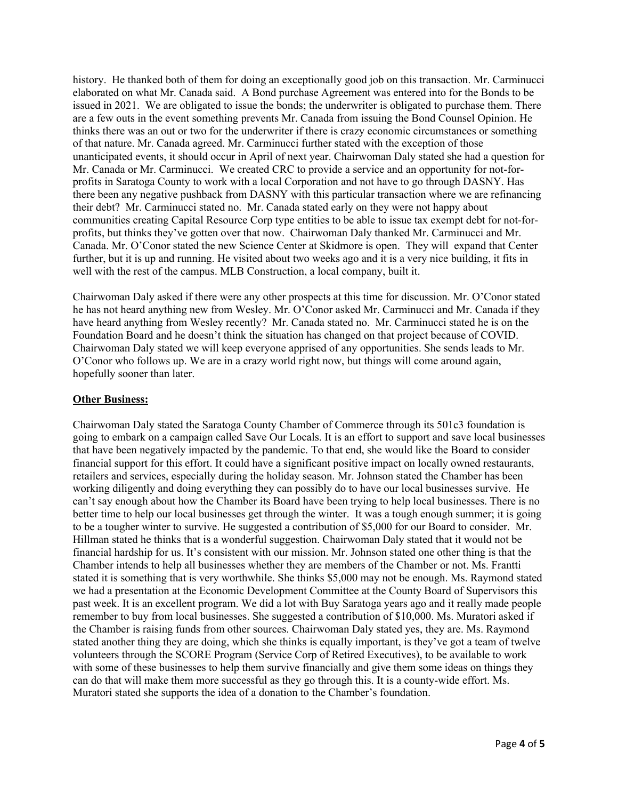history. He thanked both of them for doing an exceptionally good job on this transaction. Mr. Carminucci elaborated on what Mr. Canada said. A Bond purchase Agreement was entered into for the Bonds to be issued in 2021. We are obligated to issue the bonds; the underwriter is obligated to purchase them. There are a few outs in the event something prevents Mr. Canada from issuing the Bond Counsel Opinion. He thinks there was an out or two for the underwriter if there is crazy economic circumstances or something of that nature. Mr. Canada agreed. Mr. Carminucci further stated with the exception of those unanticipated events, it should occur in April of next year. Chairwoman Daly stated she had a question for Mr. Canada or Mr. Carminucci. We created CRC to provide a service and an opportunity for not-forprofits in Saratoga County to work with a local Corporation and not have to go through DASNY. Has there been any negative pushback from DASNY with this particular transaction where we are refinancing their debt? Mr. Carminucci stated no. Mr. Canada stated early on they were not happy about communities creating Capital Resource Corp type entities to be able to issue tax exempt debt for not-forprofits, but thinks they've gotten over that now. Chairwoman Daly thanked Mr. Carminucci and Mr. Canada. Mr. O'Conor stated the new Science Center at Skidmore is open. They will expand that Center further, but it is up and running. He visited about two weeks ago and it is a very nice building, it fits in well with the rest of the campus. MLB Construction, a local company, built it.

Chairwoman Daly asked if there were any other prospects at this time for discussion. Mr. O'Conor stated he has not heard anything new from Wesley. Mr. O'Conor asked Mr. Carminucci and Mr. Canada if they have heard anything from Wesley recently? Mr. Canada stated no. Mr. Carminucci stated he is on the Foundation Board and he doesn't think the situation has changed on that project because of COVID. Chairwoman Daly stated we will keep everyone apprised of any opportunities. She sends leads to Mr. O'Conor who follows up. We are in a crazy world right now, but things will come around again, hopefully sooner than later.

# **Other Business:**

Chairwoman Daly stated the Saratoga County Chamber of Commerce through its 501c3 foundation is going to embark on a campaign called Save Our Locals. It is an effort to support and save local businesses that have been negatively impacted by the pandemic. To that end, she would like the Board to consider financial support for this effort. It could have a significant positive impact on locally owned restaurants, retailers and services, especially during the holiday season. Mr. Johnson stated the Chamber has been working diligently and doing everything they can possibly do to have our local businesses survive. He can't say enough about how the Chamber its Board have been trying to help local businesses. There is no better time to help our local businesses get through the winter. It was a tough enough summer; it is going to be a tougher winter to survive. He suggested a contribution of \$5,000 for our Board to consider. Mr. Hillman stated he thinks that is a wonderful suggestion. Chairwoman Daly stated that it would not be financial hardship for us. It's consistent with our mission. Mr. Johnson stated one other thing is that the Chamber intends to help all businesses whether they are members of the Chamber or not. Ms. Frantti stated it is something that is very worthwhile. She thinks \$5,000 may not be enough. Ms. Raymond stated we had a presentation at the Economic Development Committee at the County Board of Supervisors this past week. It is an excellent program. We did a lot with Buy Saratoga years ago and it really made people remember to buy from local businesses. She suggested a contribution of \$10,000. Ms. Muratori asked if the Chamber is raising funds from other sources. Chairwoman Daly stated yes, they are. Ms. Raymond stated another thing they are doing, which she thinks is equally important, is they've got a team of twelve volunteers through the SCORE Program (Service Corp of Retired Executives), to be available to work with some of these businesses to help them survive financially and give them some ideas on things they can do that will make them more successful as they go through this. It is a county-wide effort. Ms. Muratori stated she supports the idea of a donation to the Chamber's foundation.